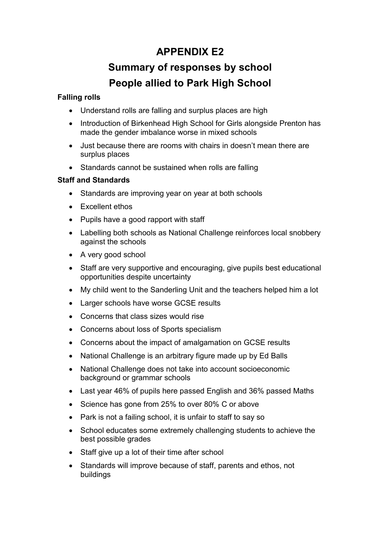# APPENDIX E2

# Summary of responses by school People allied to Park High School

# Falling rolls

- Understand rolls are falling and surplus places are high
- Introduction of Birkenhead High School for Girls alongside Prenton has made the gender imbalance worse in mixed schools
- Just because there are rooms with chairs in doesn't mean there are surplus places
- Standards cannot be sustained when rolls are falling

### Staff and Standards

- Standards are improving year on year at both schools
- Excellent ethos
- Pupils have a good rapport with staff
- Labelling both schools as National Challenge reinforces local snobbery against the schools
- A very good school
- Staff are very supportive and encouraging, give pupils best educational opportunities despite uncertainty
- My child went to the Sanderling Unit and the teachers helped him a lot
- Larger schools have worse GCSE results
- Concerns that class sizes would rise
- Concerns about loss of Sports specialism
- Concerns about the impact of amalgamation on GCSE results
- National Challenge is an arbitrary figure made up by Ed Balls
- National Challenge does not take into account socioeconomic background or grammar schools
- Last year 46% of pupils here passed English and 36% passed Maths
- Science has gone from 25% to over 80% C or above
- Park is not a failing school, it is unfair to staff to say so
- School educates some extremely challenging students to achieve the best possible grades
- Staff give up a lot of their time after school
- Standards will improve because of staff, parents and ethos, not buildings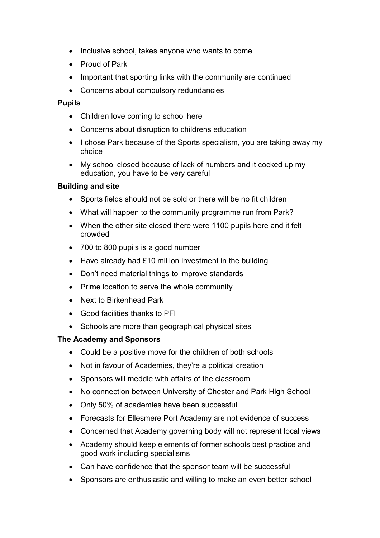- Inclusive school, takes anyone who wants to come
- Proud of Park
- Important that sporting links with the community are continued
- Concerns about compulsory redundancies

#### Pupils

- Children love coming to school here
- Concerns about disruption to childrens education
- I chose Park because of the Sports specialism, you are taking away my choice
- My school closed because of lack of numbers and it cocked up my education, you have to be very careful

#### Building and site

- Sports fields should not be sold or there will be no fit children
- What will happen to the community programme run from Park?
- When the other site closed there were 1100 pupils here and it felt crowded
- 700 to 800 pupils is a good number
- Have already had £10 million investment in the building
- Don't need material things to improve standards
- Prime location to serve the whole community
- Next to Birkenhead Park
- Good facilities thanks to PFI
- Schools are more than geographical physical sites

#### The Academy and Sponsors

- Could be a positive move for the children of both schools
- Not in favour of Academies, they're a political creation
- Sponsors will meddle with affairs of the classroom
- No connection between University of Chester and Park High School
- Only 50% of academies have been successful
- Forecasts for Ellesmere Port Academy are not evidence of success
- Concerned that Academy governing body will not represent local views
- Academy should keep elements of former schools best practice and good work including specialisms
- Can have confidence that the sponsor team will be successful
- Sponsors are enthusiastic and willing to make an even better school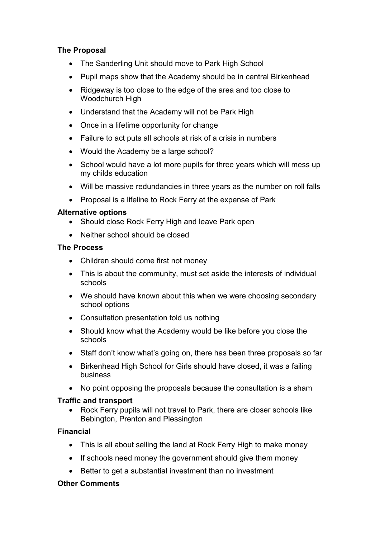# The Proposal

- The Sanderling Unit should move to Park High School
- Pupil maps show that the Academy should be in central Birkenhead
- Ridgeway is too close to the edge of the area and too close to Woodchurch High
- Understand that the Academy will not be Park High
- Once in a lifetime opportunity for change
- Failure to act puts all schools at risk of a crisis in numbers
- Would the Academy be a large school?
- School would have a lot more pupils for three years which will mess up my childs education
- Will be massive redundancies in three years as the number on roll falls
- Proposal is a lifeline to Rock Ferry at the expense of Park

#### Alternative options

- Should close Rock Ferry High and leave Park open
- Neither school should be closed

#### The Process

- Children should come first not money
- This is about the community, must set aside the interests of individual schools
- We should have known about this when we were choosing secondary school options
- Consultation presentation told us nothing
- Should know what the Academy would be like before you close the schools
- Staff don't know what's going on, there has been three proposals so far
- Birkenhead High School for Girls should have closed, it was a failing business
- No point opposing the proposals because the consultation is a sham

# Traffic and transport

• Rock Ferry pupils will not travel to Park, there are closer schools like Bebington, Prenton and Plessington

# Financial

- This is all about selling the land at Rock Ferry High to make money
- If schools need money the government should give them money
- Better to get a substantial investment than no investment

#### Other Comments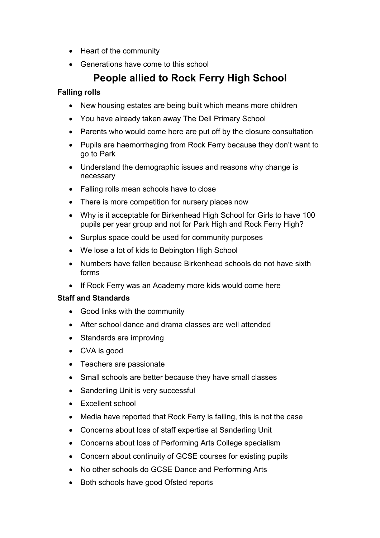- Heart of the community
- Generations have come to this school

# People allied to Rock Ferry High School

# Falling rolls

- New housing estates are being built which means more children
- You have already taken away The Dell Primary School
- Parents who would come here are put off by the closure consultation
- Pupils are haemorrhaging from Rock Ferry because they don't want to go to Park
- Understand the demographic issues and reasons why change is necessary
- Falling rolls mean schools have to close
- There is more competition for nursery places now
- Why is it acceptable for Birkenhead High School for Girls to have 100 pupils per year group and not for Park High and Rock Ferry High?
- Surplus space could be used for community purposes
- We lose a lot of kids to Bebington High School
- Numbers have fallen because Birkenhead schools do not have sixth forms
- If Rock Ferry was an Academy more kids would come here

# Staff and Standards

- Good links with the community
- After school dance and drama classes are well attended
- Standards are improving
- CVA is good
- Teachers are passionate
- Small schools are better because they have small classes
- Sanderling Unit is very successful
- Excellent school
- Media have reported that Rock Ferry is failing, this is not the case
- Concerns about loss of staff expertise at Sanderling Unit
- Concerns about loss of Performing Arts College specialism
- Concern about continuity of GCSE courses for existing pupils
- No other schools do GCSE Dance and Performing Arts
- Both schools have good Ofsted reports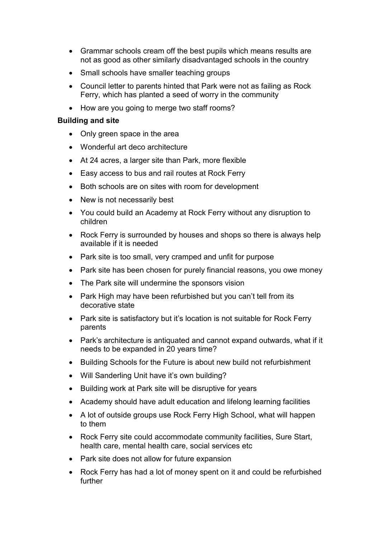- Grammar schools cream off the best pupils which means results are not as good as other similarly disadvantaged schools in the country
- Small schools have smaller teaching groups
- Council letter to parents hinted that Park were not as failing as Rock Ferry, which has planted a seed of worry in the community
- How are you going to merge two staff rooms?

#### Building and site

- Only green space in the area
- Wonderful art deco architecture
- At 24 acres, a larger site than Park, more flexible
- Easy access to bus and rail routes at Rock Ferry
- Both schools are on sites with room for development
- New is not necessarily best
- You could build an Academy at Rock Ferry without any disruption to children
- Rock Ferry is surrounded by houses and shops so there is always help available if it is needed
- Park site is too small, very cramped and unfit for purpose
- Park site has been chosen for purely financial reasons, you owe money
- The Park site will undermine the sponsors vision
- Park High may have been refurbished but you can't tell from its decorative state
- Park site is satisfactory but it's location is not suitable for Rock Ferry parents
- Park's architecture is antiquated and cannot expand outwards, what if it needs to be expanded in 20 years time?
- Building Schools for the Future is about new build not refurbishment
- Will Sanderling Unit have it's own building?
- Building work at Park site will be disruptive for years
- Academy should have adult education and lifelong learning facilities
- A lot of outside groups use Rock Ferry High School, what will happen to them
- Rock Ferry site could accommodate community facilities, Sure Start, health care, mental health care, social services etc
- Park site does not allow for future expansion
- Rock Ferry has had a lot of money spent on it and could be refurbished further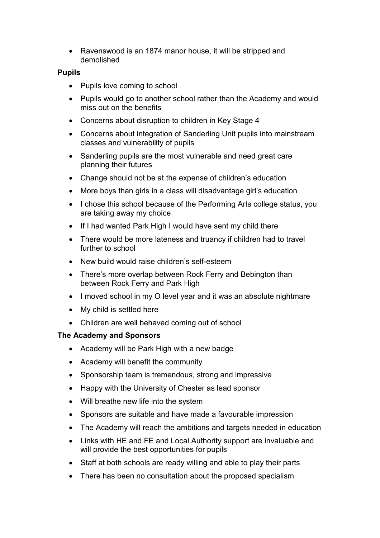• Ravenswood is an 1874 manor house, it will be stripped and demolished

### Pupils

- Pupils love coming to school
- Pupils would go to another school rather than the Academy and would miss out on the benefits
- Concerns about disruption to children in Key Stage 4
- Concerns about integration of Sanderling Unit pupils into mainstream classes and vulnerability of pupils
- Sanderling pupils are the most vulnerable and need great care planning their futures
- Change should not be at the expense of children's education
- More boys than girls in a class will disadvantage girl's education
- I chose this school because of the Performing Arts college status, you are taking away my choice
- If I had wanted Park High I would have sent my child there
- There would be more lateness and truancy if children had to travel further to school
- New build would raise children's self-esteem
- There's more overlap between Rock Ferry and Bebington than between Rock Ferry and Park High
- I moved school in my O level year and it was an absolute nightmare
- My child is settled here
- Children are well behaved coming out of school

#### The Academy and Sponsors

- Academy will be Park High with a new badge
- Academy will benefit the community
- Sponsorship team is tremendous, strong and impressive
- Happy with the University of Chester as lead sponsor
- Will breathe new life into the system
- Sponsors are suitable and have made a favourable impression
- The Academy will reach the ambitions and targets needed in education
- Links with HE and FE and Local Authority support are invaluable and will provide the best opportunities for pupils
- Staff at both schools are ready willing and able to play their parts
- There has been no consultation about the proposed specialism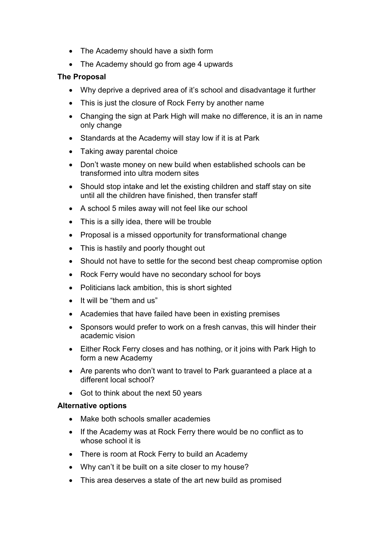- The Academy should have a sixth form
- The Academy should go from age 4 upwards

# The Proposal

- Why deprive a deprived area of it's school and disadvantage it further
- This is just the closure of Rock Ferry by another name
- Changing the sign at Park High will make no difference, it is an in name only change
- Standards at the Academy will stay low if it is at Park
- Taking away parental choice
- Don't waste money on new build when established schools can be transformed into ultra modern sites
- Should stop intake and let the existing children and staff stay on site until all the children have finished, then transfer staff
- A school 5 miles away will not feel like our school
- This is a silly idea, there will be trouble
- Proposal is a missed opportunity for transformational change
- This is hastily and poorly thought out
- Should not have to settle for the second best cheap compromise option
- Rock Ferry would have no secondary school for boys
- Politicians lack ambition, this is short sighted
- It will be "them and us"
- Academies that have failed have been in existing premises
- Sponsors would prefer to work on a fresh canvas, this will hinder their academic vision
- Either Rock Ferry closes and has nothing, or it joins with Park High to form a new Academy
- Are parents who don't want to travel to Park guaranteed a place at a different local school?
- Got to think about the next 50 years

#### Alternative options

- Make both schools smaller academies
- If the Academy was at Rock Ferry there would be no conflict as to whose school it is
- There is room at Rock Ferry to build an Academy
- Why can't it be built on a site closer to my house?
- This area deserves a state of the art new build as promised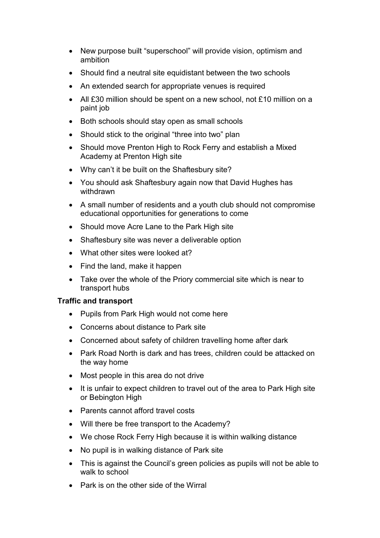- New purpose built "superschool" will provide vision, optimism and ambition
- Should find a neutral site equidistant between the two schools
- An extended search for appropriate venues is required
- All £30 million should be spent on a new school, not £10 million on a paint job
- Both schools should stay open as small schools
- Should stick to the original "three into two" plan
- Should move Prenton High to Rock Ferry and establish a Mixed Academy at Prenton High site
- Why can't it be built on the Shaftesbury site?
- You should ask Shaftesbury again now that David Hughes has withdrawn
- A small number of residents and a youth club should not compromise educational opportunities for generations to come
- Should move Acre Lane to the Park High site
- Shaftesbury site was never a deliverable option
- What other sites were looked at?
- Find the land, make it happen
- Take over the whole of the Priory commercial site which is near to transport hubs

#### Traffic and transport

- Pupils from Park High would not come here
- Concerns about distance to Park site
- Concerned about safety of children travelling home after dark
- Park Road North is dark and has trees, children could be attacked on the way home
- Most people in this area do not drive
- It is unfair to expect children to travel out of the area to Park High site or Bebington High
- Parents cannot afford travel costs
- Will there be free transport to the Academy?
- We chose Rock Ferry High because it is within walking distance
- No pupil is in walking distance of Park site
- This is against the Council's green policies as pupils will not be able to walk to school
- Park is on the other side of the Wirral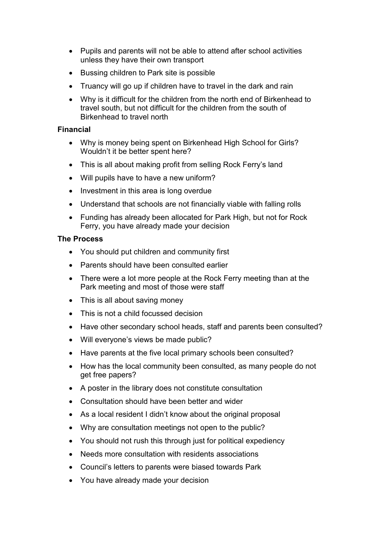- Pupils and parents will not be able to attend after school activities unless they have their own transport
- Bussing children to Park site is possible
- Truancy will go up if children have to travel in the dark and rain
- Why is it difficult for the children from the north end of Birkenhead to travel south, but not difficult for the children from the south of Birkenhead to travel north

#### Financial

- Why is money being spent on Birkenhead High School for Girls? Wouldn't it be better spent here?
- This is all about making profit from selling Rock Ferry's land
- Will pupils have to have a new uniform?
- Investment in this area is long overdue
- Understand that schools are not financially viable with falling rolls
- Funding has already been allocated for Park High, but not for Rock Ferry, you have already made your decision

#### The Process

- You should put children and community first
- Parents should have been consulted earlier
- There were a lot more people at the Rock Ferry meeting than at the Park meeting and most of those were staff
- This is all about saving money
- This is not a child focussed decision
- Have other secondary school heads, staff and parents been consulted?
- Will everyone's views be made public?
- Have parents at the five local primary schools been consulted?
- How has the local community been consulted, as many people do not get free papers?
- A poster in the library does not constitute consultation
- Consultation should have been better and wider
- As a local resident I didn't know about the original proposal
- Why are consultation meetings not open to the public?
- You should not rush this through just for political expediency
- Needs more consultation with residents associations
- Council's letters to parents were biased towards Park
- You have already made your decision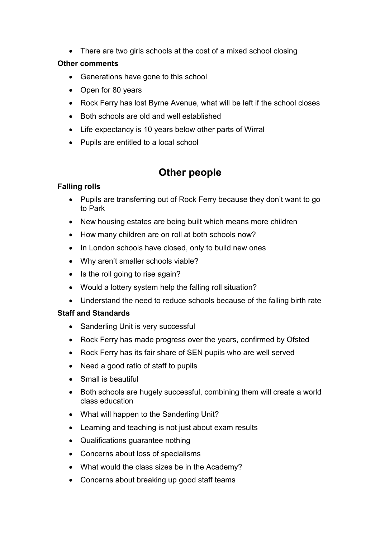• There are two girls schools at the cost of a mixed school closing

# Other comments

- Generations have gone to this school
- Open for 80 years
- Rock Ferry has lost Byrne Avenue, what will be left if the school closes
- Both schools are old and well established
- Life expectancy is 10 years below other parts of Wirral
- Pupils are entitled to a local school

# Other people

# Falling rolls

- Pupils are transferring out of Rock Ferry because they don't want to go to Park
- New housing estates are being built which means more children
- How many children are on roll at both schools now?
- In London schools have closed, only to build new ones
- Why aren't smaller schools viable?
- Is the roll going to rise again?
- Would a lottery system help the falling roll situation?
- Understand the need to reduce schools because of the falling birth rate

# Staff and Standards

- Sanderling Unit is very successful
- Rock Ferry has made progress over the years, confirmed by Ofsted
- Rock Ferry has its fair share of SEN pupils who are well served
- Need a good ratio of staff to pupils
- Small is beautiful
- Both schools are hugely successful, combining them will create a world class education
- What will happen to the Sanderling Unit?
- Learning and teaching is not just about exam results
- Qualifications guarantee nothing
- Concerns about loss of specialisms
- What would the class sizes be in the Academy?
- Concerns about breaking up good staff teams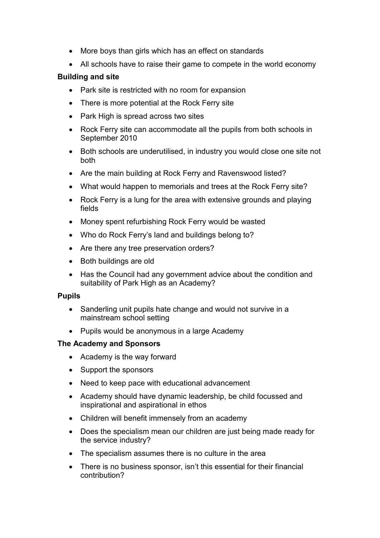- More boys than girls which has an effect on standards
- All schools have to raise their game to compete in the world economy

# Building and site

- Park site is restricted with no room for expansion
- There is more potential at the Rock Ferry site
- Park High is spread across two sites
- Rock Ferry site can accommodate all the pupils from both schools in September 2010
- Both schools are underutilised, in industry you would close one site not both
- Are the main building at Rock Ferry and Ravenswood listed?
- What would happen to memorials and trees at the Rock Ferry site?
- Rock Ferry is a lung for the area with extensive grounds and playing fields
- Money spent refurbishing Rock Ferry would be wasted
- Who do Rock Ferry's land and buildings belong to?
- Are there any tree preservation orders?
- Both buildings are old
- Has the Council had any government advice about the condition and suitability of Park High as an Academy?

#### Pupils

- Sanderling unit pupils hate change and would not survive in a mainstream school setting
- Pupils would be anonymous in a large Academy

#### The Academy and Sponsors

- Academy is the way forward
- Support the sponsors
- Need to keep pace with educational advancement
- Academy should have dynamic leadership, be child focussed and inspirational and aspirational in ethos
- Children will benefit immensely from an academy
- Does the specialism mean our children are just being made ready for the service industry?
- The specialism assumes there is no culture in the area
- There is no business sponsor, isn't this essential for their financial contribution?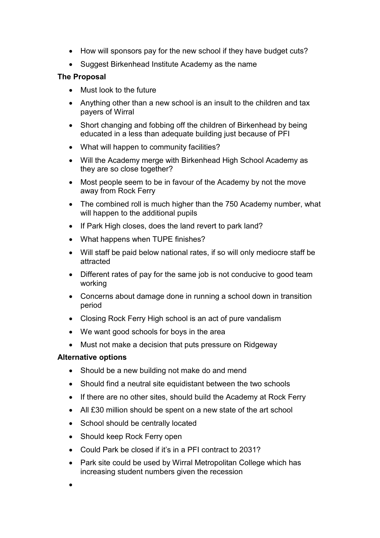- How will sponsors pay for the new school if they have budget cuts?
- Suggest Birkenhead Institute Academy as the name

# The Proposal

- Must look to the future
- Anything other than a new school is an insult to the children and tax payers of Wirral
- Short changing and fobbing off the children of Birkenhead by being educated in a less than adequate building just because of PFI
- What will happen to community facilities?
- Will the Academy merge with Birkenhead High School Academy as they are so close together?
- Most people seem to be in favour of the Academy by not the move away from Rock Ferry
- The combined roll is much higher than the 750 Academy number, what will happen to the additional pupils
- If Park High closes, does the land revert to park land?
- What happens when TUPE finishes?
- Will staff be paid below national rates, if so will only mediocre staff be attracted
- Different rates of pay for the same job is not conducive to good team working
- Concerns about damage done in running a school down in transition period
- Closing Rock Ferry High school is an act of pure vandalism
- We want good schools for boys in the area
- Must not make a decision that puts pressure on Ridgeway

# Alternative options

- Should be a new building not make do and mend
- Should find a neutral site equidistant between the two schools
- If there are no other sites, should build the Academy at Rock Ferry
- All £30 million should be spent on a new state of the art school
- School should be centrally located
- Should keep Rock Ferry open
- Could Park be closed if it's in a PFI contract to 2031?
- Park site could be used by Wirral Metropolitan College which has increasing student numbers given the recession
- •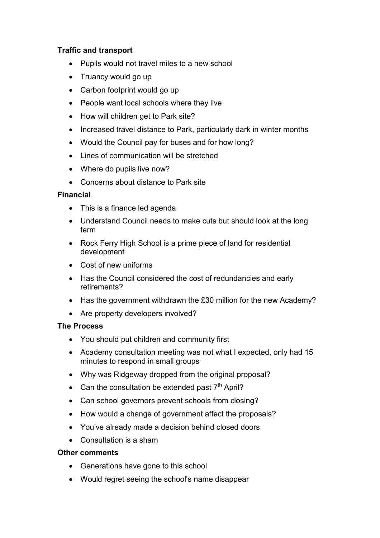# Traffic and transport

- Pupils would not travel miles to a new school
- Truancy would go up
- Carbon footprint would go up
- People want local schools where they live
- How will children get to Park site?
- Increased travel distance to Park, particularly dark in winter months
- Would the Council pay for buses and for how long?
- Lines of communication will be stretched
- Where do pupils live now?
- Concerns about distance to Park site

# Financial

- This is a finance led agenda
- Understand Council needs to make cuts but should look at the long term
- Rock Ferry High School is a prime piece of land for residential development
- Cost of new uniforms
- Has the Council considered the cost of redundancies and early retirements?
- Has the government withdrawn the £30 million for the new Academy?
- Are property developers involved?

# The Process

- You should put children and community first
- Academy consultation meeting was not what I expected, only had 15 minutes to respond in small groups
- Why was Ridgeway dropped from the original proposal?
- Can the consultation be extended past  $7<sup>th</sup>$  April?
- Can school governors prevent schools from closing?
- How would a change of government affect the proposals?
- You've already made a decision behind closed doors
- Consultation is a sham

# Other comments

- Generations have gone to this school
- Would regret seeing the school's name disappear